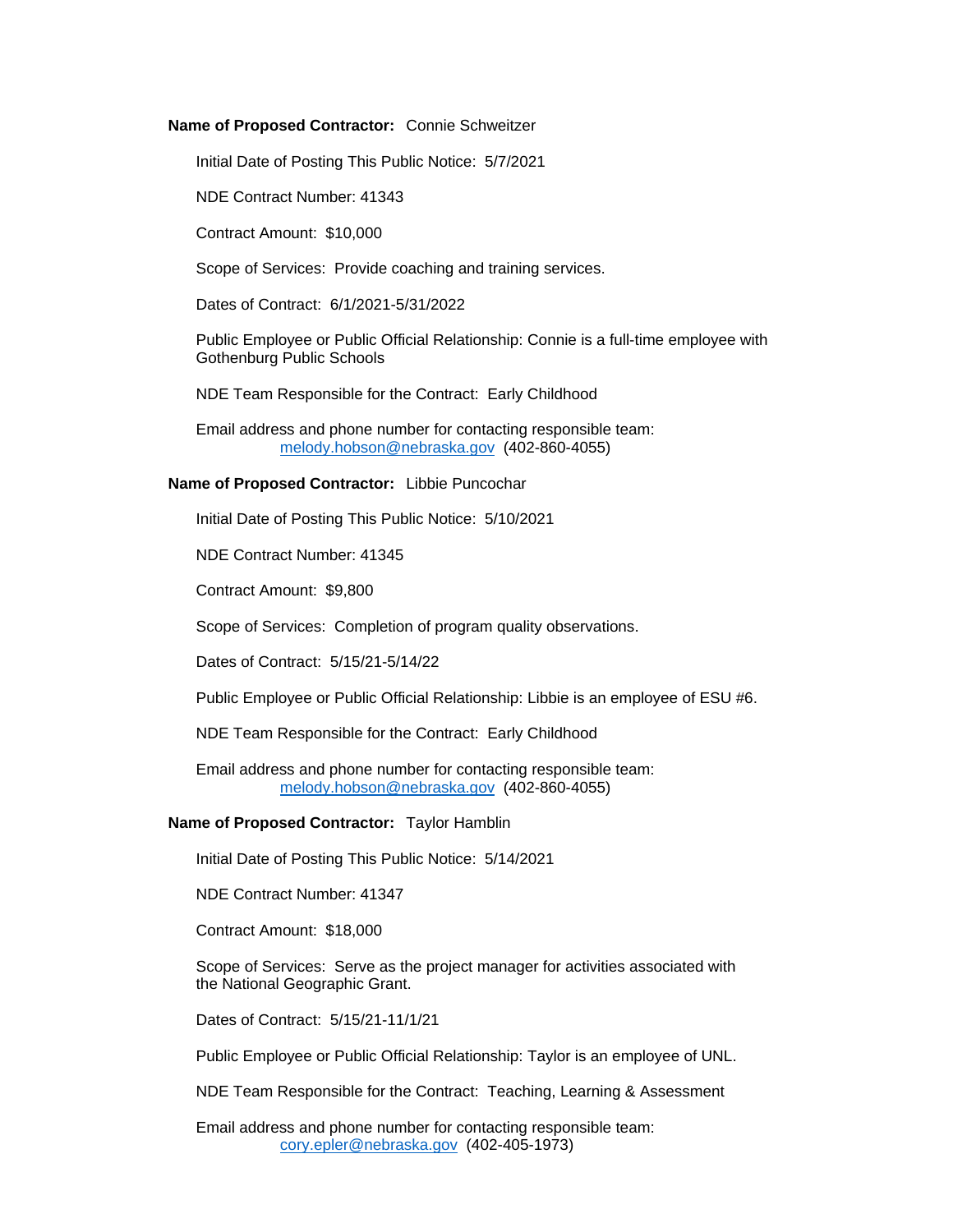#### **Name of Proposed Contractor:** Connie Schweitzer

Initial Date of Posting This Public Notice: 5/7/2021

NDE Contract Number: 41343

Contract Amount: \$10,000

Scope of Services: Provide coaching and training services.

Dates of Contract: 6/1/2021-5/31/2022

Public Employee or Public Official Relationship: Connie is a full-time employee with Gothenburg Public Schools

NDE Team Responsible for the Contract: Early Childhood

Email address and phone number for contacting responsible team: [melody.hobson@nebraska.gov](mailto:melody.hobson@nebraska.gov) (402-860-4055)

### **Name of Proposed Contractor:** Libbie Puncochar

Initial Date of Posting This Public Notice: 5/10/2021

NDE Contract Number: 41345

Contract Amount: \$9,800

Scope of Services: Completion of program quality observations.

Dates of Contract: 5/15/21-5/14/22

Public Employee or Public Official Relationship: Libbie is an employee of ESU #6.

NDE Team Responsible for the Contract: Early Childhood

Email address and phone number for contacting responsible team: [melody.hobson@nebraska.gov](mailto:melody.hobson@nebraska.gov) (402-860-4055)

#### **Name of Proposed Contractor:** Taylor Hamblin

Initial Date of Posting This Public Notice: 5/14/2021

NDE Contract Number: 41347

Contract Amount: \$18,000

Scope of Services: Serve as the project manager for activities associated with the National Geographic Grant.

Dates of Contract: 5/15/21-11/1/21

Public Employee or Public Official Relationship: Taylor is an employee of UNL.

NDE Team Responsible for the Contract: Teaching, Learning & Assessment

Email address and phone number for contacting responsible team: [cory.epler@nebraska.gov](mailto:cory.epler@nebraska.gov) (402-405-1973)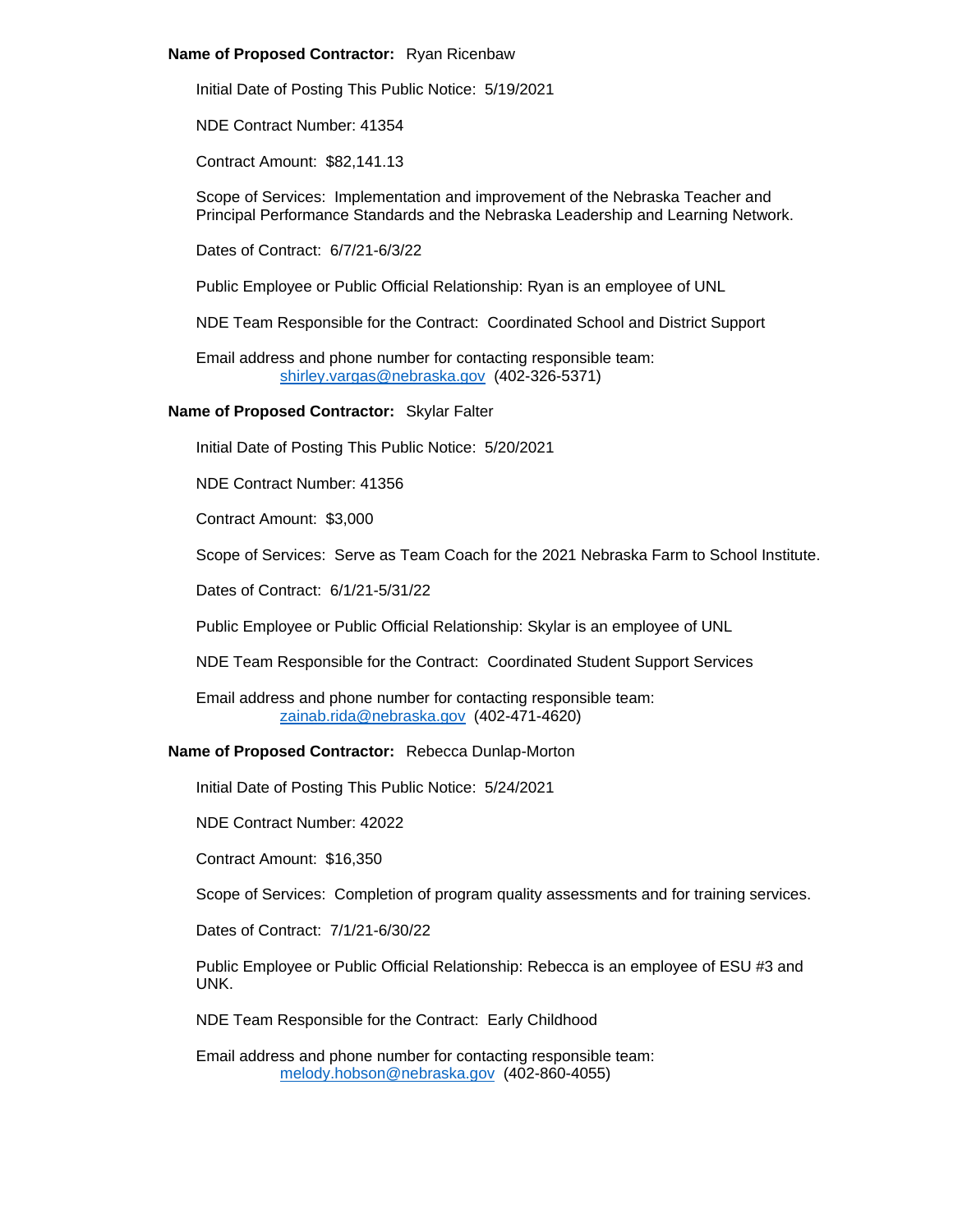### **Name of Proposed Contractor:** Ryan Ricenbaw

Initial Date of Posting This Public Notice: 5/19/2021

NDE Contract Number: 41354

Contract Amount: \$82,141.13

Scope of Services: Implementation and improvement of the Nebraska Teacher and Principal Performance Standards and the Nebraska Leadership and Learning Network.

Dates of Contract: 6/7/21-6/3/22

Public Employee or Public Official Relationship: Ryan is an employee of UNL

NDE Team Responsible for the Contract: Coordinated School and District Support

Email address and phone number for contacting responsible team: [shirley.vargas@nebraska.gov](mailto:shirley.vargas@nebraska.gov) (402-326-5371)

## **Name of Proposed Contractor:** Skylar Falter

Initial Date of Posting This Public Notice: 5/20/2021

NDE Contract Number: 41356

Contract Amount: \$3,000

Scope of Services: Serve as Team Coach for the 2021 Nebraska Farm to School Institute.

Dates of Contract: 6/1/21-5/31/22

Public Employee or Public Official Relationship: Skylar is an employee of UNL

NDE Team Responsible for the Contract: Coordinated Student Support Services

Email address and phone number for contacting responsible team: [zainab.rida@nebraska.gov](mailto:zainab.rida@nebraska.gov) (402-471-4620)

## **Name of Proposed Contractor:** Rebecca Dunlap-Morton

Initial Date of Posting This Public Notice: 5/24/2021

NDE Contract Number: 42022

Contract Amount: \$16,350

Scope of Services: Completion of program quality assessments and for training services.

Dates of Contract: 7/1/21-6/30/22

Public Employee or Public Official Relationship: Rebecca is an employee of ESU #3 and UNK.

NDE Team Responsible for the Contract: Early Childhood

Email address and phone number for contacting responsible team: [melody.hobson@nebraska.gov](mailto:melody.hobson@nebraska.gov) (402-860-4055)